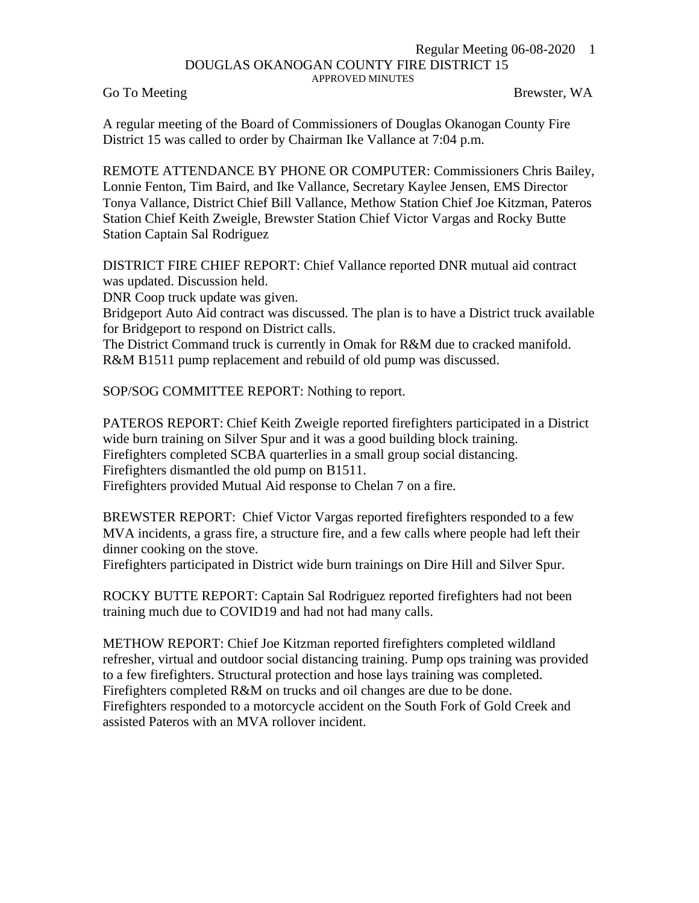## Regular Meeting 06-08-2020 1 DOUGLAS OKANOGAN COUNTY FIRE DISTRICT 15 APPROVED MINUTES

Go To Meeting Brewster, WA

A regular meeting of the Board of Commissioners of Douglas Okanogan County Fire District 15 was called to order by Chairman Ike Vallance at 7:04 p.m.

REMOTE ATTENDANCE BY PHONE OR COMPUTER: Commissioners Chris Bailey, Lonnie Fenton, Tim Baird, and Ike Vallance, Secretary Kaylee Jensen, EMS Director Tonya Vallance, District Chief Bill Vallance, Methow Station Chief Joe Kitzman, Pateros Station Chief Keith Zweigle, Brewster Station Chief Victor Vargas and Rocky Butte Station Captain Sal Rodriguez

DISTRICT FIRE CHIEF REPORT: Chief Vallance reported DNR mutual aid contract was updated. Discussion held.

DNR Coop truck update was given.

Bridgeport Auto Aid contract was discussed. The plan is to have a District truck available for Bridgeport to respond on District calls.

The District Command truck is currently in Omak for R&M due to cracked manifold. R&M B1511 pump replacement and rebuild of old pump was discussed.

SOP/SOG COMMITTEE REPORT: Nothing to report.

PATEROS REPORT: Chief Keith Zweigle reported firefighters participated in a District wide burn training on Silver Spur and it was a good building block training. Firefighters completed SCBA quarterlies in a small group social distancing. Firefighters dismantled the old pump on B1511. Firefighters provided Mutual Aid response to Chelan 7 on a fire.

BREWSTER REPORT: Chief Victor Vargas reported firefighters responded to a few MVA incidents, a grass fire, a structure fire, and a few calls where people had left their dinner cooking on the stove.

Firefighters participated in District wide burn trainings on Dire Hill and Silver Spur.

ROCKY BUTTE REPORT: Captain Sal Rodriguez reported firefighters had not been training much due to COVID19 and had not had many calls.

METHOW REPORT: Chief Joe Kitzman reported firefighters completed wildland refresher, virtual and outdoor social distancing training. Pump ops training was provided to a few firefighters. Structural protection and hose lays training was completed. Firefighters completed R&M on trucks and oil changes are due to be done. Firefighters responded to a motorcycle accident on the South Fork of Gold Creek and assisted Pateros with an MVA rollover incident.